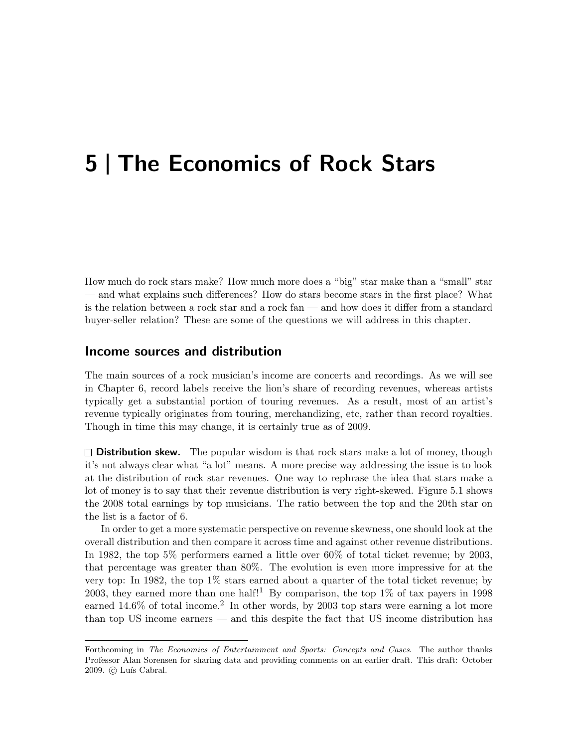# 5 | The Economics of Rock Stars

How much do rock stars make? How much more does a "big" star make than a "small" star — and what explains such differences? How do stars become stars in the first place? What is the relation between a rock star and a rock fan — and how does it differ from a standard buyer-seller relation? These are some of the questions we will address in this chapter.

## Income sources and distribution

The main sources of a rock musician's income are concerts and recordings. As we will see in Chapter 6, record labels receive the lion's share of recording revenues, whereas artists typically get a substantial portion of touring revenues. As a result, most of an artist's revenue typically originates from touring, merchandizing, etc, rather than record royalties. Though in time this may change, it is certainly true as of 2009.

 $\square$  **Distribution skew.** The popular wisdom is that rock stars make a lot of money, though it's not always clear what "a lot" means. A more precise way addressing the issue is to look at the distribution of rock star revenues. One way to rephrase the idea that stars make a lot of money is to say that their revenue distribution is very right-skewed. Figure 5.1 shows the 2008 total earnings by top musicians. The ratio between the top and the 20th star on the list is a factor of 6.

In order to get a more systematic perspective on revenue skewness, one should look at the overall distribution and then compare it across time and against other revenue distributions. In 1982, the top 5% performers earned a little over 60% of total ticket revenue; by 2003, that percentage was greater than 80%. The evolution is even more impressive for at the very top: In 1982, the top 1% stars earned about a quarter of the total ticket revenue; by 2003, they earned more than one half!<sup>1</sup> By comparison, the top  $1\%$  of tax payers in 1998 earned  $14.6\%$  of total income.<sup>2</sup> In other words, by 2003 top stars were earning a lot more than top US income earners — and this despite the fact that US income distribution has

Forthcoming in The Economics of Entertainment and Sports: Concepts and Cases. The author thanks Professor Alan Sorensen for sharing data and providing comments on an earlier draft. This draft: October 2009. © Luís Cabral.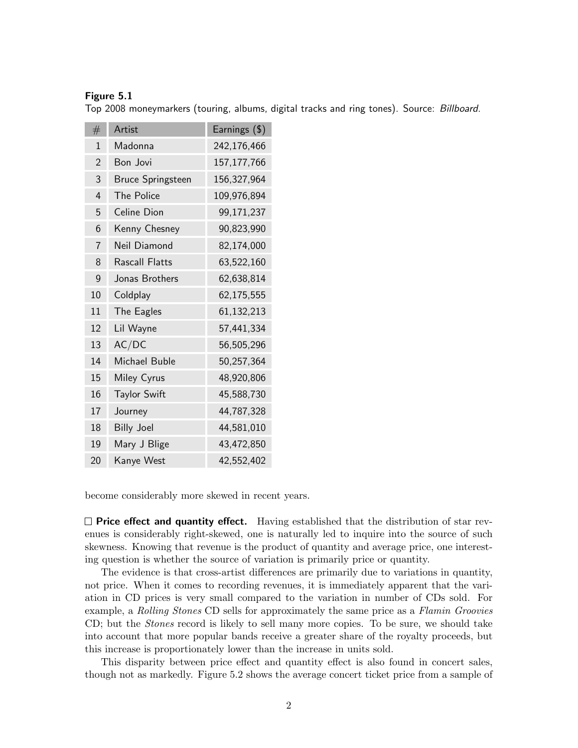### Figure 5.1

Top 2008 moneymarkers (touring, albums, digital tracks and ring tones). Source: Billboard.

| #              | Artist                   | Earnings (\$) |
|----------------|--------------------------|---------------|
| 1              | Madonna                  | 242,176,466   |
| $\overline{2}$ | Bon Jovi                 | 157, 177, 766 |
| 3              | <b>Bruce Springsteen</b> | 156,327,964   |
| 4              | <b>The Police</b>        | 109,976,894   |
| 5              | Celine Dion              | 99,171,237    |
| 6              | Kenny Chesney            | 90,823,990    |
| $\overline{7}$ | Neil Diamond             | 82,174,000    |
| 8              | Rascall Flatts           | 63,522,160    |
| 9              | Jonas Brothers           | 62,638,814    |
| 10             | Coldplay                 | 62,175,555    |
| 11             | The Eagles               | 61,132,213    |
| 12             | Lil Wayne                | 57,441,334    |
| 13             | AC/DC                    | 56,505,296    |
| 14             | Michael Buble            | 50,257,364    |
| 15             | Miley Cyrus              | 48,920,806    |
| 16             | <b>Taylor Swift</b>      | 45,588,730    |
| 17             | Journey                  | 44,787,328    |
| 18             | <b>Billy Joel</b>        | 44,581,010    |
| 19             | Mary J Blige             | 43,472,850    |
| 20             | Kanye West               | 42,552,402    |

become considerably more skewed in recent years.

 $\square$  Price effect and quantity effect. Having established that the distribution of star revenues is considerably right-skewed, one is naturally led to inquire into the source of such skewness. Knowing that revenue is the product of quantity and average price, one interesting question is whether the source of variation is primarily price or quantity.

The evidence is that cross-artist differences are primarily due to variations in quantity, not price. When it comes to recording revenues, it is immediately apparent that the variation in CD prices is very small compared to the variation in number of CDs sold. For example, a Rolling Stones CD sells for approximately the same price as a Flamin Groovies CD; but the *Stones* record is likely to sell many more copies. To be sure, we should take into account that more popular bands receive a greater share of the royalty proceeds, but this increase is proportionately lower than the increase in units sold.

This disparity between price effect and quantity effect is also found in concert sales, though not as markedly. Figure 5.2 shows the average concert ticket price from a sample of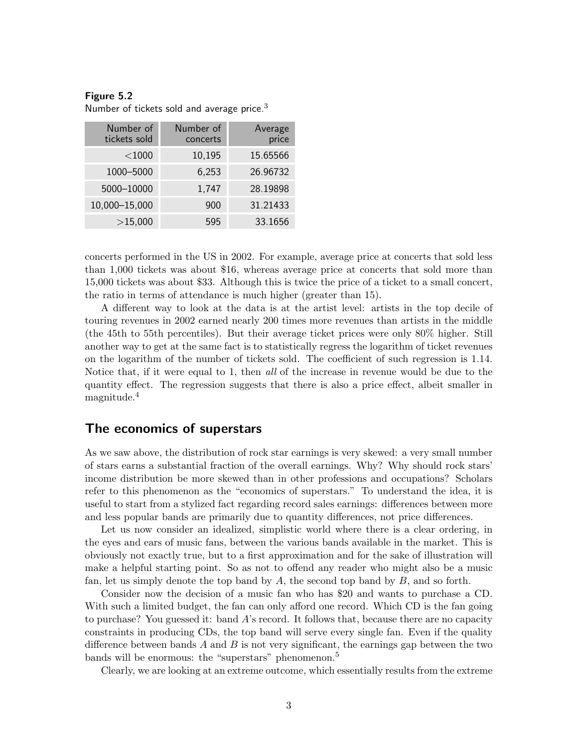| Number of<br>tickets sold | Number of<br>concerts | Average<br>price |
|---------------------------|-----------------------|------------------|
| $<$ 1000                  | 10,195                | 15.65566         |
| 1000-5000                 | 6,253                 | 26.96732         |
| 5000-10000                | 1,747                 | 28.19898         |
| 10,000-15,000             | 900                   | 31.21433         |
| >15,000                   | 595                   | 33.1656          |

Figure 5.2 Number of tickets sold and average price. $3$ 

concerts performed in the US in 2002. For example, average price at concerts that sold less than 1,000 tickets was about \$16, whereas average price at concerts that sold more than 15,000 tickets was about \$33. Although this is twice the price of a ticket to a small concert, the ratio in terms of attendance is much higher (greater than 15).

A different way to look at the data is at the artist level: artists in the top decile of touring revenues in 2002 earned nearly 200 times more revenues than artists in the middle (the 45th to 55th percentiles). But their average ticket prices were only 80% higher. Still another way to get at the same fact is to statistically regress the logarithm of ticket revenues on the logarithm of the number of tickets sold. The coefficient of such regression is 1.14. Notice that, if it were equal to 1, then *all* of the increase in revenue would be due to the quantity effect. The regression suggests that there is also a price effect, albeit smaller in magnitude.<sup>4</sup>

## The economics of superstars

As we saw above, the distribution of rock star earnings is very skewed: a very small number of stars earns a substantial fraction of the overall earnings. Why? Why should rock stars' income distribution be more skewed than in other professions and occupations? Scholars refer to this phenomenon as the "economics of superstars." To understand the idea, it is useful to start from a stylized fact regarding record sales earnings: differences between more and less popular bands are primarily due to quantity differences, not price differences.

Let us now consider an idealized, simplistic world where there is a clear ordering, in the eyes and ears of music fans, between the various bands available in the market. This is obviously not exactly true, but to a first approximation and for the sake of illustration will make a helpful starting point. So as not to offend any reader who might also be a music fan, let us simply denote the top band by  $A$ , the second top band by  $B$ , and so forth.

Consider now the decision of a music fan who has \$20 and wants to purchase a CD. With such a limited budget, the fan can only afford one record. Which CD is the fan going to purchase? You guessed it: band A's record. It follows that, because there are no capacity constraints in producing CDs, the top band will serve every single fan. Even if the quality difference between bands A and B is not very significant, the earnings gap between the two bands will be enormous: the "superstars" phenomenon.<sup>5</sup>

Clearly, we are looking at an extreme outcome, which essentially results from the extreme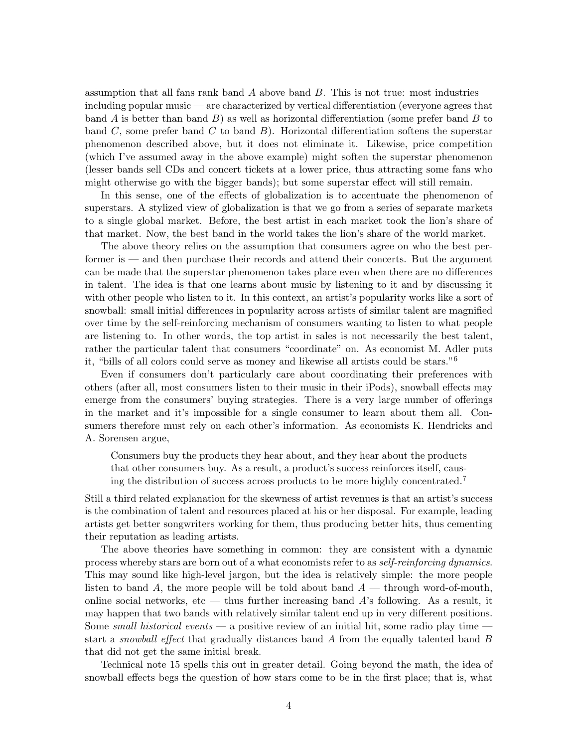assumption that all fans rank band  $A$  above band  $B$ . This is not true: most industries  $$ including popular music — are characterized by vertical differentiation (everyone agrees that band A is better than band  $B$ ) as well as horizontal differentiation (some prefer band  $B$  to band C, some prefer band C to band  $B$ ). Horizontal differentiation softens the superstar phenomenon described above, but it does not eliminate it. Likewise, price competition (which I've assumed away in the above example) might soften the superstar phenomenon (lesser bands sell CDs and concert tickets at a lower price, thus attracting some fans who might otherwise go with the bigger bands); but some superstar effect will still remain.

In this sense, one of the effects of globalization is to accentuate the phenomenon of superstars. A stylized view of globalization is that we go from a series of separate markets to a single global market. Before, the best artist in each market took the lion's share of that market. Now, the best band in the world takes the lion's share of the world market.

The above theory relies on the assumption that consumers agree on who the best performer is — and then purchase their records and attend their concerts. But the argument can be made that the superstar phenomenon takes place even when there are no differences in talent. The idea is that one learns about music by listening to it and by discussing it with other people who listen to it. In this context, an artist's popularity works like a sort of snowball: small initial differences in popularity across artists of similar talent are magnified over time by the self-reinforcing mechanism of consumers wanting to listen to what people are listening to. In other words, the top artist in sales is not necessarily the best talent, rather the particular talent that consumers "coordinate" on. As economist M. Adler puts it, "bills of all colors could serve as money and likewise all artists could be stars."<sup>6</sup>

Even if consumers don't particularly care about coordinating their preferences with others (after all, most consumers listen to their music in their iPods), snowball effects may emerge from the consumers' buying strategies. There is a very large number of offerings in the market and it's impossible for a single consumer to learn about them all. Consumers therefore must rely on each other's information. As economists K. Hendricks and A. Sorensen argue,

Consumers buy the products they hear about, and they hear about the products that other consumers buy. As a result, a product's success reinforces itself, causing the distribution of success across products to be more highly concentrated.<sup>7</sup>

Still a third related explanation for the skewness of artist revenues is that an artist's success is the combination of talent and resources placed at his or her disposal. For example, leading artists get better songwriters working for them, thus producing better hits, thus cementing their reputation as leading artists.

The above theories have something in common: they are consistent with a dynamic process whereby stars are born out of a what economists refer to as self-reinforcing dynamics. This may sound like high-level jargon, but the idea is relatively simple: the more people listen to band A, the more people will be told about band  $A$  — through word-of-mouth, online social networks, etc — thus further increasing band  $A$ 's following. As a result, it may happen that two bands with relatively similar talent end up in very different positions. Some small historical events — a positive review of an initial hit, some radio play time  $\cdot$ start a *snowball effect* that gradually distances band A from the equally talented band B that did not get the same initial break.

Technical note 15 spells this out in greater detail. Going beyond the math, the idea of snowball effects begs the question of how stars come to be in the first place; that is, what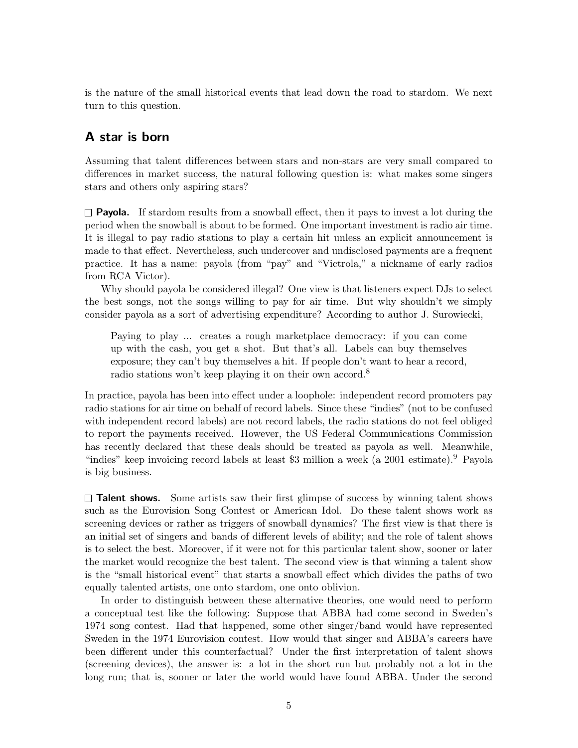is the nature of the small historical events that lead down the road to stardom. We next turn to this question.

# A star is born

Assuming that talent differences between stars and non-stars are very small compared to differences in market success, the natural following question is: what makes some singers stars and others only aspiring stars?

 $\Box$  **Payola.** If stardom results from a snowball effect, then it pays to invest a lot during the period when the snowball is about to be formed. One important investment is radio air time. It is illegal to pay radio stations to play a certain hit unless an explicit announcement is made to that effect. Nevertheless, such undercover and undisclosed payments are a frequent practice. It has a name: payola (from "pay" and "Victrola," a nickname of early radios from RCA Victor).

Why should payola be considered illegal? One view is that listeners expect DJs to select the best songs, not the songs willing to pay for air time. But why shouldn't we simply consider payola as a sort of advertising expenditure? According to author J. Surowiecki,

Paying to play ... creates a rough marketplace democracy: if you can come up with the cash, you get a shot. But that's all. Labels can buy themselves exposure; they can't buy themselves a hit. If people don't want to hear a record, radio stations won't keep playing it on their own accord.<sup>8</sup>

In practice, payola has been into effect under a loophole: independent record promoters pay radio stations for air time on behalf of record labels. Since these "indies" (not to be confused with independent record labels) are not record labels, the radio stations do not feel obliged to report the payments received. However, the US Federal Communications Commission has recently declared that these deals should be treated as payola as well. Meanwhile, "indies" keep invoicing record labels at least \$3 million a week (a 2001 estimate).<sup>9</sup> Payola is big business.

 $\square$  Talent shows. Some artists saw their first glimpse of success by winning talent shows such as the Eurovision Song Contest or American Idol. Do these talent shows work as screening devices or rather as triggers of snowball dynamics? The first view is that there is an initial set of singers and bands of different levels of ability; and the role of talent shows is to select the best. Moreover, if it were not for this particular talent show, sooner or later the market would recognize the best talent. The second view is that winning a talent show is the "small historical event" that starts a snowball effect which divides the paths of two equally talented artists, one onto stardom, one onto oblivion.

In order to distinguish between these alternative theories, one would need to perform a conceptual test like the following: Suppose that ABBA had come second in Sweden's 1974 song contest. Had that happened, some other singer/band would have represented Sweden in the 1974 Eurovision contest. How would that singer and ABBA's careers have been different under this counterfactual? Under the first interpretation of talent shows (screening devices), the answer is: a lot in the short run but probably not a lot in the long run; that is, sooner or later the world would have found ABBA. Under the second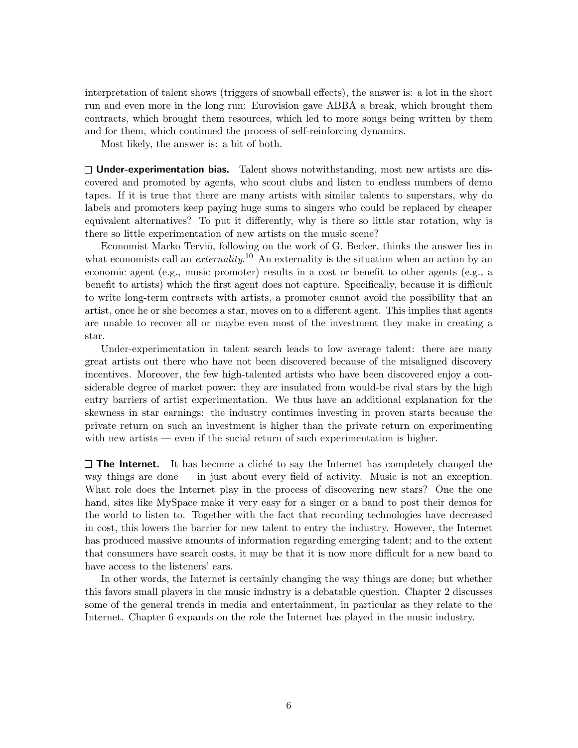interpretation of talent shows (triggers of snowball effects), the answer is: a lot in the short run and even more in the long run: Eurovision gave ABBA a break, which brought them contracts, which brought them resources, which led to more songs being written by them and for them, which continued the process of self-reinforcing dynamics.

Most likely, the answer is: a bit of both.

 $\Box$  Under-experimentation bias. Talent shows notwithstanding, most new artists are discovered and promoted by agents, who scout clubs and listen to endless numbers of demo tapes. If it is true that there are many artists with similar talents to superstars, why do labels and promoters keep paying huge sums to singers who could be replaced by cheaper equivalent alternatives? To put it differently, why is there so little star rotation, why is there so little experimentation of new artists on the music scene?

Economist Marko Terviö, following on the work of G. Becker, thinks the answer lies in what economists call an *externality*.<sup>10</sup> An externality is the situation when an action by an economic agent (e.g., music promoter) results in a cost or benefit to other agents (e.g., a benefit to artists) which the first agent does not capture. Specifically, because it is difficult to write long-term contracts with artists, a promoter cannot avoid the possibility that an artist, once he or she becomes a star, moves on to a different agent. This implies that agents are unable to recover all or maybe even most of the investment they make in creating a star.

Under-experimentation in talent search leads to low average talent: there are many great artists out there who have not been discovered because of the misaligned discovery incentives. Moreover, the few high-talented artists who have been discovered enjoy a considerable degree of market power: they are insulated from would-be rival stars by the high entry barriers of artist experimentation. We thus have an additional explanation for the skewness in star earnings: the industry continues investing in proven starts because the private return on such an investment is higher than the private return on experimenting with new artists — even if the social return of such experimentation is higher.

 $\Box$  The Internet. It has become a clichet to say the Internet has completely changed the way things are done — in just about every field of activity. Music is not an exception. What role does the Internet play in the process of discovering new stars? One the one hand, sites like MySpace make it very easy for a singer or a band to post their demos for the world to listen to. Together with the fact that recording technologies have decreased in cost, this lowers the barrier for new talent to entry the industry. However, the Internet has produced massive amounts of information regarding emerging talent; and to the extent that consumers have search costs, it may be that it is now more difficult for a new band to have access to the listeners' ears.

In other words, the Internet is certainly changing the way things are done; but whether this favors small players in the music industry is a debatable question. Chapter 2 discusses some of the general trends in media and entertainment, in particular as they relate to the Internet. Chapter 6 expands on the role the Internet has played in the music industry.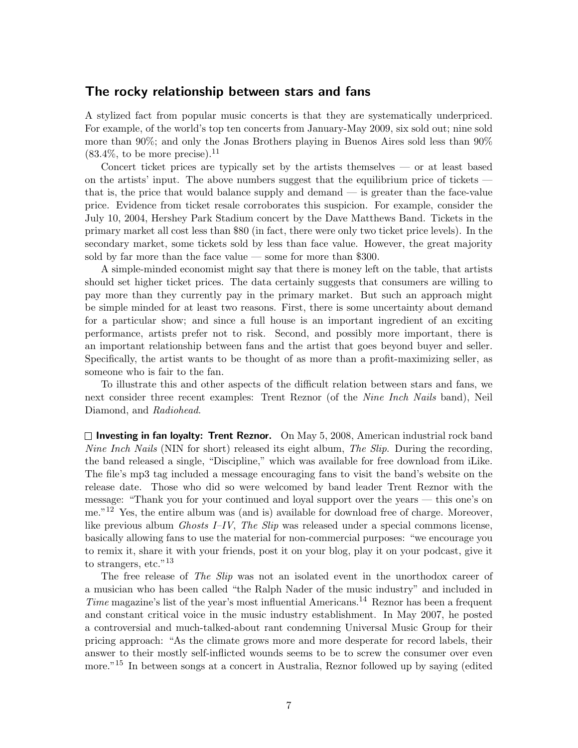## The rocky relationship between stars and fans

A stylized fact from popular music concerts is that they are systematically underpriced. For example, of the world's top ten concerts from January-May 2009, six sold out; nine sold more than 90%; and only the Jonas Brothers playing in Buenos Aires sold less than 90%  $(83.4\%, \text{ to be more precise})$ .<sup>11</sup>

Concert ticket prices are typically set by the artists themselves — or at least based on the artists' input. The above numbers suggest that the equilibrium price of tickets that is, the price that would balance supply and demand — is greater than the face-value price. Evidence from ticket resale corroborates this suspicion. For example, consider the July 10, 2004, Hershey Park Stadium concert by the Dave Matthews Band. Tickets in the primary market all cost less than \$80 (in fact, there were only two ticket price levels). In the secondary market, some tickets sold by less than face value. However, the great majority sold by far more than the face value — some for more than \$300.

A simple-minded economist might say that there is money left on the table, that artists should set higher ticket prices. The data certainly suggests that consumers are willing to pay more than they currently pay in the primary market. But such an approach might be simple minded for at least two reasons. First, there is some uncertainty about demand for a particular show; and since a full house is an important ingredient of an exciting performance, artists prefer not to risk. Second, and possibly more important, there is an important relationship between fans and the artist that goes beyond buyer and seller. Specifically, the artist wants to be thought of as more than a profit-maximizing seller, as someone who is fair to the fan.

To illustrate this and other aspects of the difficult relation between stars and fans, we next consider three recent examples: Trent Reznor (of the *Nine Inch Nails* band), Neil Diamond, and Radiohead.

 $\square$  Investing in fan loyalty: Trent Reznor. On May 5, 2008, American industrial rock band Nine Inch Nails (NIN for short) released its eight album, The Slip. During the recording, the band released a single, "Discipline," which was available for free download from iLike. The file's mp3 tag included a message encouraging fans to visit the band's website on the release date. Those who did so were welcomed by band leader Trent Reznor with the message: "Thank you for your continued and loyal support over the years — this one's on me."<sup>12</sup> Yes, the entire album was (and is) available for download free of charge. Moreover, like previous album *Ghosts I–IV*, The Slip was released under a special commons license, basically allowing fans to use the material for non-commercial purposes: "we encourage you to remix it, share it with your friends, post it on your blog, play it on your podcast, give it to strangers, etc."<sup>13</sup>

The free release of *The Slip* was not an isolated event in the unorthodox career of a musician who has been called "the Ralph Nader of the music industry" and included in *Time* magazine's list of the year's most influential Americans.<sup>14</sup> Reznor has been a frequent and constant critical voice in the music industry establishment. In May 2007, he posted a controversial and much-talked-about rant condemning Universal Music Group for their pricing approach: "As the climate grows more and more desperate for record labels, their answer to their mostly self-inflicted wounds seems to be to screw the consumer over even more."<sup>15</sup> In between songs at a concert in Australia, Reznor followed up by saying (edited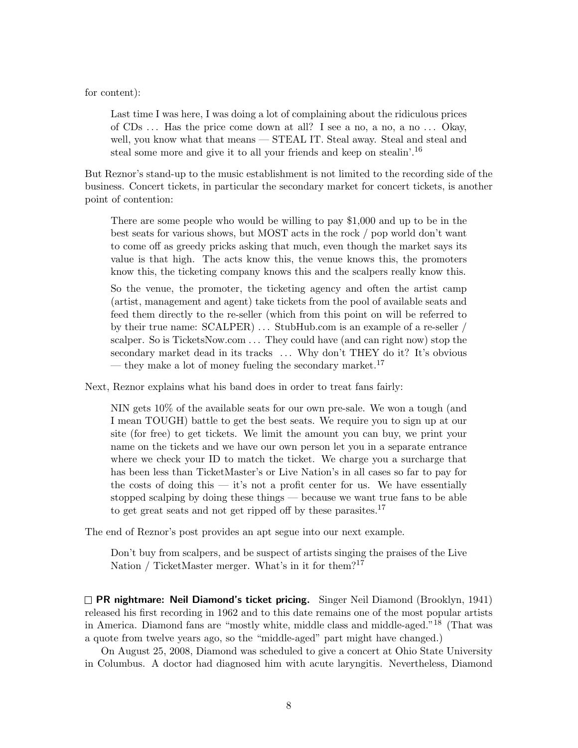for content):

Last time I was here, I was doing a lot of complaining about the ridiculous prices of  $CDs$ ... Has the price come down at all? I see a no, a no, a no... Okay, well, you know what that means — STEAL IT. Steal away. Steal and steal and steal some more and give it to all your friends and keep on stealin'.<sup>16</sup>

But Reznor's stand-up to the music establishment is not limited to the recording side of the business. Concert tickets, in particular the secondary market for concert tickets, is another point of contention:

There are some people who would be willing to pay \$1,000 and up to be in the best seats for various shows, but MOST acts in the rock / pop world don't want to come off as greedy pricks asking that much, even though the market says its value is that high. The acts know this, the venue knows this, the promoters know this, the ticketing company knows this and the scalpers really know this.

So the venue, the promoter, the ticketing agency and often the artist camp (artist, management and agent) take tickets from the pool of available seats and feed them directly to the re-seller (which from this point on will be referred to by their true name: SCALPER) . . . StubHub.com is an example of a re-seller / scalper. So is TicketsNow.com . . . They could have (and can right now) stop the secondary market dead in its tracks ... Why don't THEY do it? It's obvious — they make a lot of money fueling the secondary market.<sup>17</sup>

Next, Reznor explains what his band does in order to treat fans fairly:

NIN gets 10% of the available seats for our own pre-sale. We won a tough (and I mean TOUGH) battle to get the best seats. We require you to sign up at our site (for free) to get tickets. We limit the amount you can buy, we print your name on the tickets and we have our own person let you in a separate entrance where we check your ID to match the ticket. We charge you a surcharge that has been less than TicketMaster's or Live Nation's in all cases so far to pay for the costs of doing this — it's not a profit center for us. We have essentially stopped scalping by doing these things — because we want true fans to be able to get great seats and not get ripped off by these parasites.<sup>17</sup>

The end of Reznor's post provides an apt segue into our next example.

Don't buy from scalpers, and be suspect of artists singing the praises of the Live Nation / TicketMaster merger. What's in it for them?<sup>17</sup>

 $\Box$  PR nightmare: Neil Diamond's ticket pricing. Singer Neil Diamond (Brooklyn, 1941) released his first recording in 1962 and to this date remains one of the most popular artists in America. Diamond fans are "mostly white, middle class and middle-aged."<sup>18</sup> (That was a quote from twelve years ago, so the "middle-aged" part might have changed.)

On August 25, 2008, Diamond was scheduled to give a concert at Ohio State University in Columbus. A doctor had diagnosed him with acute laryngitis. Nevertheless, Diamond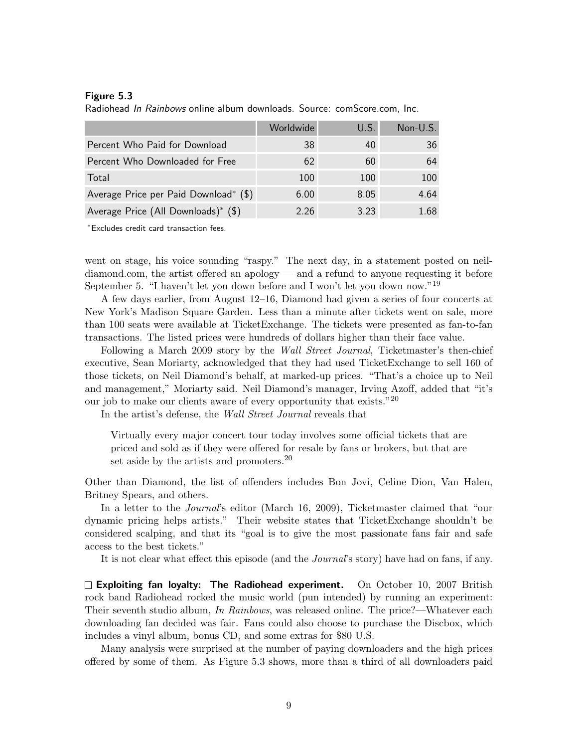#### Figure 5.3

Radiohead In Rainbows online album downloads. Source: comScore.com, Inc.

|                                       | Worldwide | U.S. | Non-U.S. |
|---------------------------------------|-----------|------|----------|
| Percent Who Paid for Download         | 38        | 40   | 36       |
| Percent Who Downloaded for Free       | 62        | 60   | 64       |
| Total                                 | 100       | 100  | 100      |
| Average Price per Paid Download* (\$) | 6.00      | 8.05 | 4.64     |
| Average Price (All Downloads)* (\$)   | 2.26      | 3.23 | 1.68     |

<sup>∗</sup>Excludes credit card transaction fees.

went on stage, his voice sounding "raspy." The next day, in a statement posted on neildiamond.com, the artist offered an apology — and a refund to anyone requesting it before September 5. "I haven't let you down before and I won't let you down now."<sup>19</sup>

A few days earlier, from August 12–16, Diamond had given a series of four concerts at New York's Madison Square Garden. Less than a minute after tickets went on sale, more than 100 seats were available at TicketExchange. The tickets were presented as fan-to-fan transactions. The listed prices were hundreds of dollars higher than their face value.

Following a March 2009 story by the Wall Street Journal, Ticketmaster's then-chief executive, Sean Moriarty, acknowledged that they had used TicketExchange to sell 160 of those tickets, on Neil Diamond's behalf, at marked-up prices. "That's a choice up to Neil and management," Moriarty said. Neil Diamond's manager, Irving Azoff, added that "it's our job to make our clients aware of every opportunity that exists." $^{20}$ 

In the artist's defense, the Wall Street Journal reveals that

Virtually every major concert tour today involves some official tickets that are priced and sold as if they were offered for resale by fans or brokers, but that are set aside by the artists and promoters.<sup>20</sup>

Other than Diamond, the list of offenders includes Bon Jovi, Celine Dion, Van Halen, Britney Spears, and others.

In a letter to the *Journal's* editor (March 16, 2009), Ticketmaster claimed that "our dynamic pricing helps artists." Their website states that TicketExchange shouldn't be considered scalping, and that its "goal is to give the most passionate fans fair and safe access to the best tickets."

It is not clear what effect this episode (and the Journal's story) have had on fans, if any.

 $\square$  Exploiting fan loyalty: The Radiohead experiment. On October 10, 2007 British rock band Radiohead rocked the music world (pun intended) by running an experiment: Their seventh studio album, In Rainbows, was released online. The price?—Whatever each downloading fan decided was fair. Fans could also choose to purchase the Discbox, which includes a vinyl album, bonus CD, and some extras for \$80 U.S.

Many analysis were surprised at the number of paying downloaders and the high prices offered by some of them. As Figure 5.3 shows, more than a third of all downloaders paid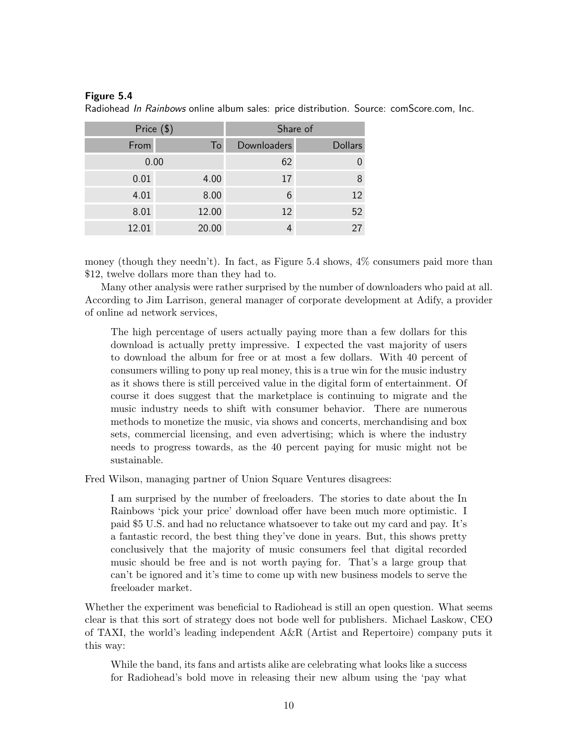## Figure 5.4

| Price (\$) |                | Share of    |                |
|------------|----------------|-------------|----------------|
| From       | T <sub>o</sub> | Downloaders | <b>Dollars</b> |
| 0.00       |                | 62          |                |
| 0.01       | 4.00           | 17          | 8              |
| 4.01       | 8.00           | 6           | 12             |
| 8.01       | 12.00          | 12          | 52             |
| 12.01      | 20.00          |             | 27             |

Radiohead In Rainbows online album sales: price distribution. Source: comScore.com, Inc.

money (though they needn't). In fact, as Figure 5.4 shows, 4% consumers paid more than \$12, twelve dollars more than they had to.

Many other analysis were rather surprised by the number of downloaders who paid at all. According to Jim Larrison, general manager of corporate development at Adify, a provider of online ad network services,

The high percentage of users actually paying more than a few dollars for this download is actually pretty impressive. I expected the vast majority of users to download the album for free or at most a few dollars. With 40 percent of consumers willing to pony up real money, this is a true win for the music industry as it shows there is still perceived value in the digital form of entertainment. Of course it does suggest that the marketplace is continuing to migrate and the music industry needs to shift with consumer behavior. There are numerous methods to monetize the music, via shows and concerts, merchandising and box sets, commercial licensing, and even advertising; which is where the industry needs to progress towards, as the 40 percent paying for music might not be sustainable.

Fred Wilson, managing partner of Union Square Ventures disagrees:

I am surprised by the number of freeloaders. The stories to date about the In Rainbows 'pick your price' download offer have been much more optimistic. I paid \$5 U.S. and had no reluctance whatsoever to take out my card and pay. It's a fantastic record, the best thing they've done in years. But, this shows pretty conclusively that the majority of music consumers feel that digital recorded music should be free and is not worth paying for. That's a large group that can't be ignored and it's time to come up with new business models to serve the freeloader market.

Whether the experiment was beneficial to Radiohead is still an open question. What seems clear is that this sort of strategy does not bode well for publishers. Michael Laskow, CEO of TAXI, the world's leading independent A&R (Artist and Repertoire) company puts it this way:

While the band, its fans and artists alike are celebrating what looks like a success for Radiohead's bold move in releasing their new album using the 'pay what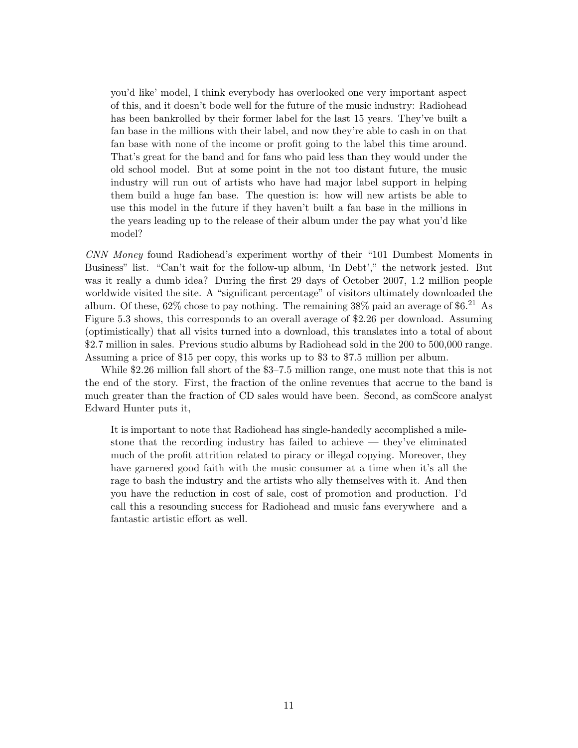you'd like' model, I think everybody has overlooked one very important aspect of this, and it doesn't bode well for the future of the music industry: Radiohead has been bankrolled by their former label for the last 15 years. They've built a fan base in the millions with their label, and now they're able to cash in on that fan base with none of the income or profit going to the label this time around. That's great for the band and for fans who paid less than they would under the old school model. But at some point in the not too distant future, the music industry will run out of artists who have had major label support in helping them build a huge fan base. The question is: how will new artists be able to use this model in the future if they haven't built a fan base in the millions in the years leading up to the release of their album under the pay what you'd like model?

CNN Money found Radiohead's experiment worthy of their "101 Dumbest Moments in Business" list. "Can't wait for the follow-up album, 'In Debt'," the network jested. But was it really a dumb idea? During the first 29 days of October 2007, 1.2 million people worldwide visited the site. A "significant percentage" of visitors ultimately downloaded the album. Of these,  $62\%$  chose to pay nothing. The remaining  $38\%$  paid an average of \$6.<sup>21</sup> As Figure 5.3 shows, this corresponds to an overall average of \$2.26 per download. Assuming (optimistically) that all visits turned into a download, this translates into a total of about \$2.7 million in sales. Previous studio albums by Radiohead sold in the 200 to 500,000 range. Assuming a price of \$15 per copy, this works up to \$3 to \$7.5 million per album.

While \$2.26 million fall short of the \$3–7.5 million range, one must note that this is not the end of the story. First, the fraction of the online revenues that accrue to the band is much greater than the fraction of CD sales would have been. Second, as comScore analyst Edward Hunter puts it,

It is important to note that Radiohead has single-handedly accomplished a milestone that the recording industry has failed to achieve — they've eliminated much of the profit attrition related to piracy or illegal copying. Moreover, they have garnered good faith with the music consumer at a time when it's all the rage to bash the industry and the artists who ally themselves with it. And then you have the reduction in cost of sale, cost of promotion and production. I'd call this a resounding success for Radiohead and music fans everywhere and a fantastic artistic effort as well.